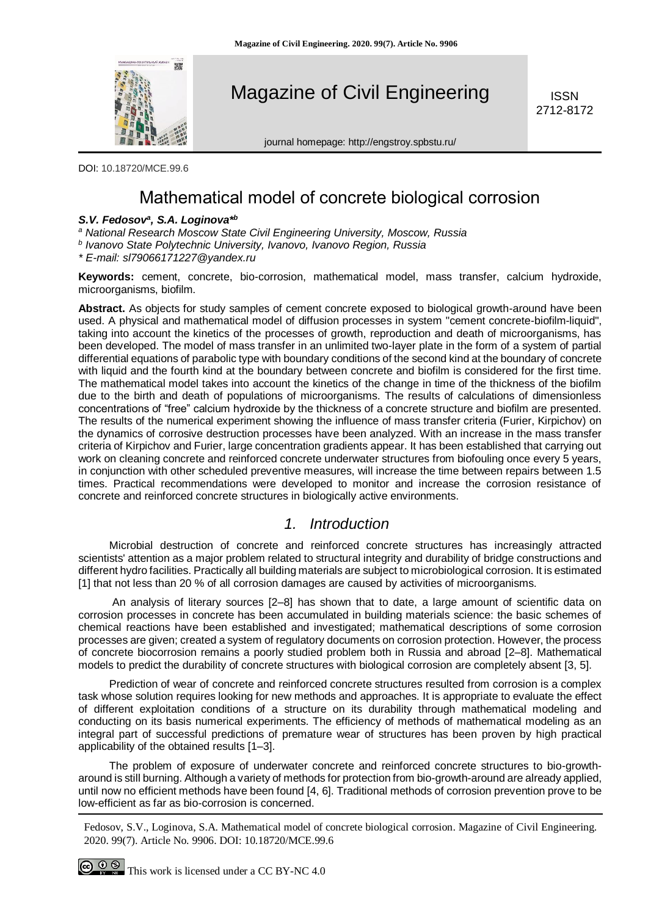

Magazine of Civil Engineering

ISSN 2712-8172

journal homepage: http://engstroy.spbstu.ru/

DOI: 10.18720/MCE.99.6

# Mathematical model of concrete biological corrosion

#### *S.V. Fedosov<sup>a</sup> , S.A. Loginova\*<sup>b</sup>*

*<sup>a</sup> National Research Moscow State Civil Engineering University, Moscow, Russia* 

*b Ivanovo State Polytechnic University, Ivanovo, Ivanovo Region, Russia*

*\* E-mail: sl79066171227@yandex.ru*

**Keywords:** cement, concrete, bio-corrosion, mathematical model, mass transfer, calcium hydroxide, microorganisms, biofilm.

**Abstract.** As objects for study samples of cement concrete exposed to biological growth-around have been used. A physical and mathematical model of diffusion processes in system "cement concrete-biofilm-liquid", taking into account the kinetics of the processes of growth, reproduction and death of microorganisms, has been developed. The model of mass transfer in an unlimited two-layer plate in the form of a system of partial differential equations of parabolic type with boundary conditions of the second kind at the boundary of concrete with liquid and the fourth kind at the boundary between concrete and biofilm is considered for the first time. The mathematical model takes into account the kinetics of the change in time of the thickness of the biofilm due to the birth and death of populations of microorganisms. The results of calculations of dimensionless concentrations of "free" calcium hydroxide by the thickness of a concrete structure and biofilm are presented. The results of the numerical experiment showing the influence of mass transfer criteria (Furier, Kirpichov) on the dynamics of corrosive destruction processes have been analyzed. With an increase in the mass transfer criteria of Kirpichov and Furier, large concentration gradients appear. It has been established that carrying out work on cleaning concrete and reinforced concrete underwater structures from biofouling once every 5 years, in conjunction with other scheduled preventive measures, will increase the time between repairs between 1.5 times. Practical recommendations were developed to monitor and increase the corrosion resistance of concrete and reinforced concrete structures in biologically active environments.

## *1. Introduction*

Microbial destruction of concrete and reinforced concrete structures has increasingly attracted scientists' attention as a major problem related to structural integrity and durability of bridge constructions and different hydro facilities. Practically all building materials are subject to microbiological corrosion. It is estimated [1] that not less than 20 % of all corrosion damages are caused by activities of microorganisms.

An analysis of literary sources [2–8] has shown that to date, a large amount of scientific data on corrosion processes in concrete has been accumulated in building materials science: the basic schemes of chemical reactions have been established and investigated; mathematical descriptions of some corrosion processes are given; created a system of regulatory documents on corrosion protection. However, the process of concrete biocorrosion remains a poorly studied problem both in Russia and abroad [2–8]. Mathematical models to predict the durability of concrete structures with biological corrosion are completely absent [3, 5].

Prediction of wear of concrete and reinforced concrete structures resulted from corrosion is a complex task whose solution requires looking for new methods and approaches. It is appropriate to evaluate the effect of different exploitation conditions of a structure on its durability through mathematical modeling and conducting on its basis numerical experiments. The efficiency of methods of mathematical modeling as an integral part of successful predictions of premature wear of structures has been proven by high practical applicability of the obtained results [1–3].

The problem of exposure of underwater concrete and reinforced concrete structures to bio-growtharound is still burning. Although a variety of methods for protection from bio-growth-around are already applied, until now no efficient methods have been found [4, 6]. Traditional methods of corrosion prevention prove to be low-efficient as far as bio-corrosion is concerned.

Fedosov, S.V., Loginova, S.A. Mathematical model of concrete biological corrosion. Magazine of Civil Engineering. 2020. 99(7). Article No. 9906. DOI: 10.18720/MCE.99.6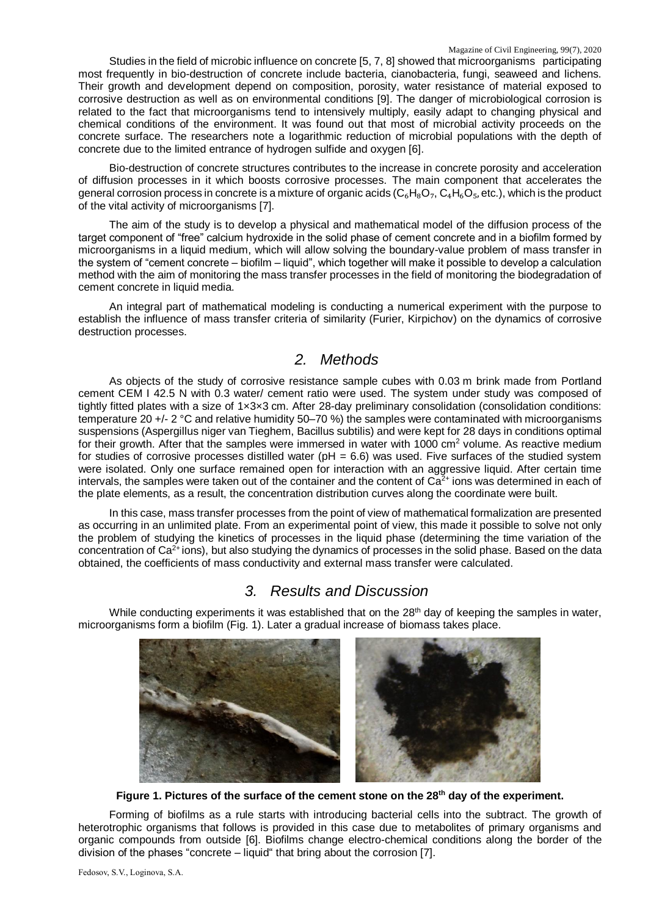Studies in the field of microbic influence on concrete [5, 7, 8] showed that microorganisms participating most frequently in bio-destruction of concrete include bacteria, cianobacteria, fungi, seaweed and lichens. Their growth and development depend on composition, porosity, water resistance of material exposed to corrosive destruction as well as on environmental conditions [9]. The danger of microbiological corrosion is related to the fact that microorganisms tend to intensively multiply, easily adapt to changing physical and chemical conditions of the environment. It was found out that most of microbial activity proceeds on the concrete surface. The researchers note a logarithmic reduction of microbial populations with the depth of concrete due to the limited entrance of hydrogen sulfide and oxygen [6].

Bio-destruction of concrete structures contributes to the increase in concrete porosity and acceleration of diffusion processes in it which boosts corrosive processes. The main component that accelerates the general corrosion process in concrete is a mixture of organic acids  $(C_6H_8O_7, C_4H_6O_5,$  etc.), which is the product of the vital activity of microorganisms [7].

The aim of the study is to develop a physical and mathematical model of the diffusion process of the target component of "free" calcium hydroxide in the solid phase of cement concrete and in a biofilm formed by microorganisms in a liquid medium, which will allow solving the boundary-value problem of mass transfer in the system of "cement concrete – biofilm – liquid", which together will make it possible to develop a calculation method with the aim of monitoring the mass transfer processes in the field of monitoring the biodegradation of cement concrete in liquid media.

An integral part of mathematical modeling is conducting a numerical experiment with the purpose to establish the influence of mass transfer criteria of similarity (Furier, Kirpichov) on the dynamics of corrosive destruction processes.

## *2. Methods*

As objects of the study of corrosive resistance sample cubes with 0.03 m brink made from Portland cement CEM I 42.5 N with 0.3 water/ cement ratio were used. The system under study was composed of tightly fitted plates with a size of 1x3x3 cm. After 28-day preliminary consolidation (consolidation conditions: temperature 20 +/- 2 °C and relative humidity 50–70 %) the samples were contaminated with microorganisms suspensions (Aspergillus niger van Tieghem, Bacillus subtilis) and were kept for 28 days in conditions optimal for their growth. After that the samples were immersed in water with 1000  $\text{cm}^2$  volume. As reactive medium for studies of corrosive processes distilled water ( $pH = 6.6$ ) was used. Five surfaces of the studied system were isolated. Only one surface remained open for interaction with an aggressive liquid. After certain time intervals, the samples were taken out of the container and the content of  $\tilde{Ca}^{2+}$  ions was determined in each of the plate elements, as a result, the concentration distribution curves along the coordinate were built.

In this case, mass transfer processes from the point of view of mathematical formalization are presented as occurring in an unlimited plate. From an experimental point of view, this made it possible to solve not only the problem of studying the kinetics of processes in the liquid phase (determining the time variation of the concentration of  $Ca<sup>2+</sup> ions$ ), but also studying the dynamics of processes in the solid phase. Based on the data obtained, the coefficients of mass conductivity and external mass transfer were calculated.

## *3. Results and Discussion*

While conducting experiments it was established that on the 28<sup>th</sup> day of keeping the samples in water, microorganisms form a biofilm (Fig. 1). Later a gradual increase of biomass takes place.



**Figure 1. Pictures of the surface of the cement stone on the 28th day of the experiment.**

Forming of biofilms as a rule starts with introducing bacterial cells into the subtract. The growth of heterotrophic organisms that follows is provided in this case due to metabolites of primary organisms and organic compounds from outside [6]. Biofilms change electro-chemical conditions along the border of the division of the phases "concrete – liquid" that bring about the corrosion [7].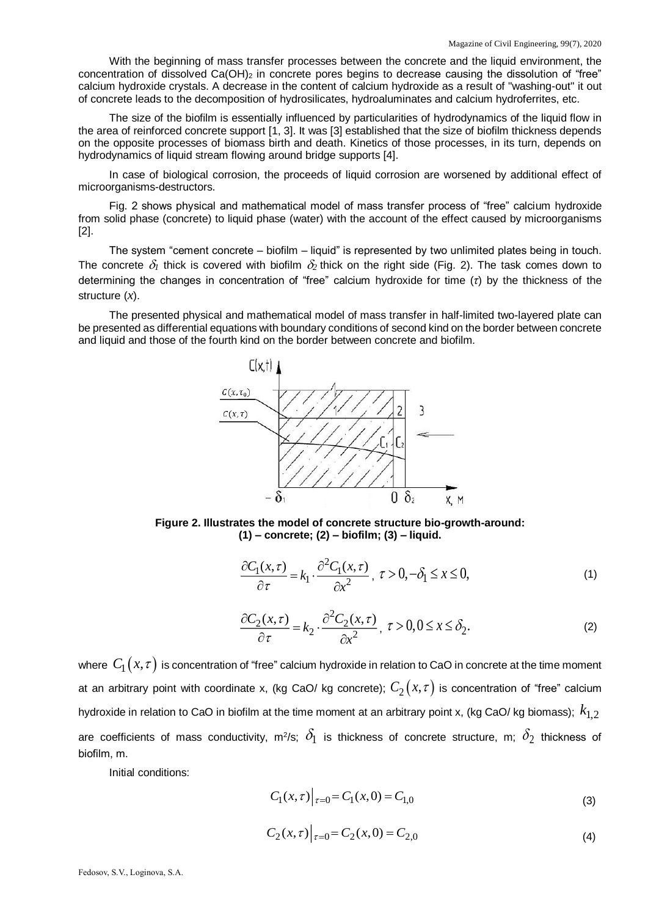With the beginning of mass transfer processes between the concrete and the liquid environment, the concentration of dissolved Ca(OH)<sub>2</sub> in concrete pores begins to decrease causing the dissolution of "free" calcium hydroxide crystals. A decrease in the content of calcium hydroxide as a result of "washing-out" it out of concrete leads to the decomposition of hydrosilicates, hydroaluminates and calcium hydroferrites, etc.

The size of the biofilm is essentially influenced by particularities of hydrodynamics of the liquid flow in the area of reinforced concrete support [1, 3]. It was [3] established that the size of biofilm thickness depends on the opposite processes of biomass birth and death. Kinetics of those processes, in its turn, depends on hydrodynamics of liquid stream flowing around bridge supports [4].

In case of biological corrosion, the proceeds of liquid corrosion are worsened by additional effect of microorganisms-destructors.

Fig. 2 shows physical and mathematical model of mass transfer process of "free" calcium hydroxide from solid phase (concrete) to liquid phase (water) with the account of the effect caused by microorganisms [2].

The system "cement concrete – biofilm – liquid" is represented by two unlimited plates being in touch. The concrete  $\delta_1$  thick is covered with biofilm  $\delta_2$  thick on the right side (Fig. 2). The task comes down to determining the changes in concentration of "free" calcium hydroxide for time (*τ*) by the thickness of the structure (*x*).

The presented physical and mathematical model of mass transfer in half-limited two-layered plate can be presented as differential equations with boundary conditions of second kind on the border between concrete and liquid and those of the fourth kind on the border between concrete and biofilm.



**Figure 2. Illustrates the model of concrete structure bio-growth-around: (1) – concrete; (2) – biofilm; (3) – liquid.**

$$
\frac{\partial C_1(x,\tau)}{\partial \tau} = k_1 \cdot \frac{\partial^2 C_1(x,\tau)}{\partial x^2}, \ \tau > 0, -\delta_1 \le x \le 0,
$$
\n(1)

$$
\frac{\partial C_2(x,\tau)}{\partial \tau} = k_2 \cdot \frac{\partial^2 C_2(x,\tau)}{\partial x^2}, \ \tau > 0, 0 \le x \le \delta_2. \tag{2}
$$

where  $\ C_{\rm l}\big(x,\tau\big)$  is concentration of "free" calcium hydroxide in relation to CaO in concrete at the time moment at an arbitrary point with coordinate x, (kg CaO/ kg concrete);  $C_2(x,\tau)$  is concentration of "free" calcium hydroxide in relation to CaO in biofilm at the time moment at an arbitrary point x, (kg CaO/ kg biomass);  $\,k_{1,2}^{}$ are coefficients of mass conductivity, m<sup>2</sup>/s;  $\delta_1$  is thickness of concrete structure, m;  $\delta_2$  thickness of biofilm, m.

Initial conditions:

$$
C_1(x,\tau)\Big|_{\tau=0} = C_1(x,0) = C_{1,0}
$$
\n(3)

$$
C_2(x,\tau)|_{\tau=0} = C_2(x,0) = C_{2,0}
$$
\n(4)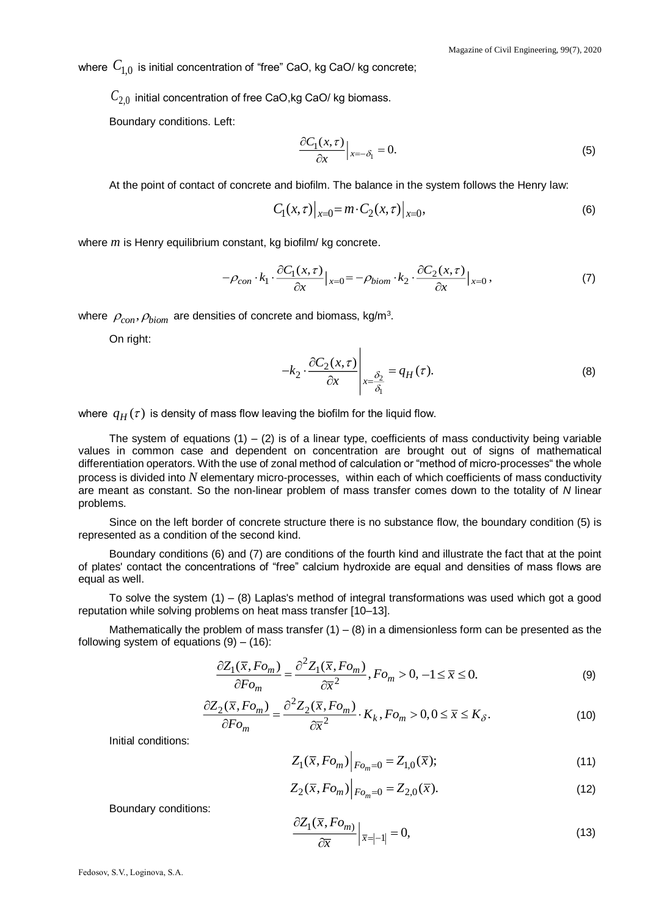where  $\,C_{1,0}\,$  is initial concentration of "free" CaO, kg CaO/ kg concrete;

 $\mathit{C}_{2,0}$  initial concentration of free CaO,kg CaO/ kg biomass.

Boundary conditions. Left:

$$
\frac{\partial C_1(x,\tau)}{\partial x}\Big|_{x=-\delta_1} = 0.
$$
\n(5)

At the point of contact of concrete and biofilm. The balance in the system follows the Henry law:

$$
C_1(x,\tau)|_{x=0} = m \cdot C_2(x,\tau)|_{x=0},\tag{6}
$$

where *m* is Henry equilibrium constant, kg biofilm/ kg concrete.

$$
-\rho_{con} \cdot k_1 \cdot \frac{\partial C_1(x,\tau)}{\partial x}\big|_{x=0} = -\rho_{biom} \cdot k_2 \cdot \frac{\partial C_2(x,\tau)}{\partial x}\big|_{x=0},\tag{7}
$$

where  $\rho_{con}, \rho_{biom}$  are densities of concrete and biomass, kg/m<sup>3</sup>.

On right:

$$
-k_2 \cdot \frac{\partial C_2(x,\tau)}{\partial x} \Bigg|_{x=\frac{\delta_2}{\delta_1}} = q_H(\tau). \tag{8}
$$

where  $\,q_{H}^{}\left(\tau\right)\,$  is density of mass flow leaving the biofilm for the liquid flow.

The system of equations  $(1) - (2)$  is of a linear type, coefficients of mass conductivity being variable values in common case and dependent on concentration are brought out of signs of mathematical differentiation operators. With the use of zonal method of calculation or "method of micro-processes" the whole process is divided into *N* elementary micro-processes, within each of which coefficients of mass conductivity are meant as constant. So the non-linear problem of mass transfer comes down to the totality of *N* linear problems.

Since on the left border of concrete structure there is no substance flow, the boundary condition (5) is represented as a condition of the second kind.

Boundary conditions (6) and (7) are conditions of the fourth kind and illustrate the fact that at the point of plates' contact the concentrations of "free" calcium hydroxide are equal and densities of mass flows are equal as well.

To solve the system  $(1) - (8)$  Laplas's method of integral transformations was used which got a good reputation while solving problems on heat mass transfer [10–13].

Mathematically the problem of mass transfer  $(1) - (8)$  in a dimensionless form can be presented as the following system of equations  $(9) - (16)$ :

$$
\frac{\partial Z_1(\overline{x}, Fo_m)}{\partial F o_m} = \frac{\partial^2 Z_1(\overline{x}, Fo_m)}{\partial \overline{x}^2}, Fo_m > 0, -1 \le \overline{x} \le 0.
$$
\n(9)

$$
\frac{\partial Z_2(\overline{x}, Fo_m)}{\partial F o_m} = \frac{\partial^2 Z_2(\overline{x}, Fo_m)}{\partial \overline{x}^2} \cdot K_k, Fo_m > 0, 0 \le \overline{x} \le K_\delta.
$$
\n(10)

Initial conditions:

$$
Z_1(\overline{x}, Fo_m)\Big|_{Fo_m=0} = Z_{1,0}(\overline{x});\tag{11}
$$

$$
Z_2(\bar{x}, Fo_m)\Big|_{Fo_m=0} = Z_{2,0}(\bar{x}).
$$
\n(12)

Boundary conditions:

$$
\frac{\partial Z_1(\overline{x}, F o_m)}{\partial \overline{x}}\Big|_{\overline{x} = |-1|} = 0,\tag{13}
$$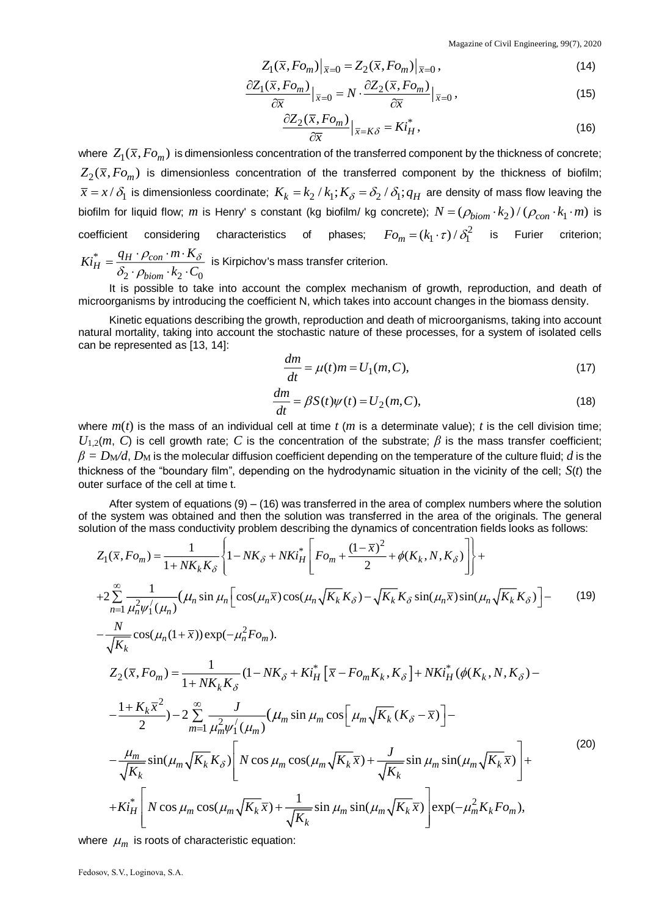$$
Z_1(\overline{x}, Fo_m)|_{\overline{x}=0} = Z_2(\overline{x}, Fo_m)|_{\overline{x}=0},\qquad(14)
$$

$$
\frac{\partial Z_1(\overline{x}, F o_m)}{\partial \overline{x}}\big|_{\overline{x}=0} = N \cdot \frac{\partial Z_2(\overline{x}, F o_m)}{\partial \overline{x}}\big|_{\overline{x}=0},\tag{15}
$$

$$
\frac{\partial Z_2(\overline{x}, Fo_m)}{\partial \overline{x}}\Big|_{\overline{x}=K\delta} = Ki_H^*,\tag{16}
$$

where  $\ Z_1(\overline x,Fo_m)$  is dimensionless concentration of the transferred component by the thickness of concrete;  $Z_2(\overline{x},Fo_m)$  is dimensionless concentration of the transferred component by the thickness of biofilm;  $\bar{x}$  =  $x$  /  $\delta$ <sub>1</sub> is dimensionless coordinate;  $K_k$  =  $k_2$  /  $k_1$ ;  $K_\delta$  =  $\delta_2$  /  $\delta_1$ ;  $q_H$  are density of mass flow leaving the biofilm for liquid flow; m is Henry' s constant (kg biofilm/ kg concrete);  $N = (\rho_{biom} \cdot k_2)/(\rho_{con} \cdot k_1 \cdot m)$  is coefficient considering characteristics of phases;  $Fo_m^{} = (k_1 \cdot \tau) / \, \delta_1^2$  is Furier criterion; \* 2  $\cdot$   $\mu$ <sub>biom</sub>  $\cdot$   $\kappa$ <sub>2</sub>  $\cdot$   $\cdot$ <sub>0</sub>  $H^* = \frac{q_H \cdot p_{con}}{q}$ *biom*  $Ki_{\text{tr}}^* = \frac{q_H \cdot \rho_{con} \cdot m \cdot K}{f}$  $k$ <sub>2</sub>  $\cdot$   $C$  $\rho_{con} \cdot m \cdot K_{\delta}$  $\delta_2 \cdot \rho$  $=\frac{q_H\cdot p_{con}\cdot m\cdot \kappa_\delta}{\delta_2\cdot p_{down}\cdot k_2\cdot C_0}$  is Kirpichov's mass transfer criterion.

It is possible to take into account the complex mechanism of growth, reproduction, and death of microorganisms by introducing the coefficient N, which takes into account changes in the biomass density.

Kinetic equations describing the growth, reproduction and death of microorganisms, taking into account natural mortality, taking into account the stochastic nature of these processes, for a system of isolated cells can be represented as [13, 14]:

$$
\frac{dm}{dt} = \mu(t)m = U_1(m, C),\tag{17}
$$

$$
\frac{dm}{dt} = \beta S(t)\psi(t) = U_2(m, C),\tag{18}
$$

where  $m(t)$  is the mass of an individual cell at time  $t$  ( $m$  is a determinate value);  $t$  is the cell division time;  $U_{1,2}(m, C)$  is cell growth rate; *C* is the concentration of the substrate;  $\beta$  is the mass transfer coefficient;  $\beta = D_M/d$ ,  $D_M$  is the molecular diffusion coefficient depending on the temperature of the culture fluid; *d* is the thickness of the "boundary film", depending on the hydrodynamic situation in the vicinity of the cell; *S*(*t*) the outer surface of the cell at time t.

After system of equations (9) – (16) was transferred in the area of complex numbers where the solution of the system was obtained and then the solution was transferred in the area of the originals. The general solution of the mass conductivity problem describing the dynamics of concentration fields looks as follows:

$$
Z_{1}(\bar{x}, Fo_{m}) = \frac{1}{1 + NK_{k}K_{\delta}} \left\{ 1 - NK_{\delta} + NK_{H}^{*} \left[ Fo_{m} + \frac{(1 - \bar{x})^{2}}{2} + \phi(K_{k}, N, K_{\delta}) \right] \right\} +
$$
  
+2
$$
\sum_{n=1}^{\infty} \frac{1}{\mu_{n}^{2} \psi_{1}^{'}(\mu_{n})} (\mu_{n} \sin \mu_{n} \left[ \cos(\mu_{n} \bar{x}) \cos(\mu_{n} \sqrt{K_{k}} K_{\delta}) - \sqrt{K_{k}} K_{\delta} \sin(\mu_{n} \bar{x}) \sin(\mu_{n} \sqrt{K_{k}} K_{\delta}) \right] -
$$
  
-
$$
\frac{N}{\sqrt{K_{k}}} \cos(\mu_{n} (1 + \bar{x})) \exp(-\mu_{n}^{2} Fo_{m}).
$$
  

$$
Z_{2}(\bar{x}, Fo_{m}) = \frac{1}{1 + NK_{k}K_{\delta}} (1 - NK_{\delta} + Ki_{H}^{*} \left[ \bar{x} - Fo_{m} K_{k}, K_{\delta} \right] + NK_{H}^{*} (\phi(K_{k}, N, K_{\delta}) -
$$
  
-
$$
\frac{1 + K_{k} \bar{x}^{2}}{2} ) - 2 \sum_{m=1}^{\infty} \frac{J}{\mu_{m}^{2} \psi_{1}^{'}(\mu_{m})} (\mu_{m} \sin \mu_{m} \cos \left[ \mu_{m} \sqrt{K_{k}} (K_{\delta} - \bar{x}) \right] -
$$
  
-
$$
\frac{\mu_{m}}{\sqrt{K_{k}}} \sin(\mu_{m} \sqrt{K_{k}} K_{\delta}) \left[ N \cos \mu_{m} \cos(\mu_{m} \sqrt{K_{k} \bar{x}}) + \frac{J}{\sqrt{K_{k}}} \sin \mu_{m} \sin(\mu_{m} \sqrt{K_{k} \bar{x}}) \right] +
$$
  
+
$$
K i_{H}^{*} \left[ N \cos \mu_{m} \cos(\mu_{m} \sqrt{K_{k} \bar{x}}) + \frac{1}{\sqrt{K_{k}}} \sin \mu_{m} \sin(\mu_{m} \sqrt{K_{k} \bar{x}}) \right] \exp(-\mu_{m}^{2} K_{k} Fo_{m}),
$$
  
(20)

where  $\mu_m$  is roots of characteristic equation:

Fedosov, S.V., Loginova, S.A.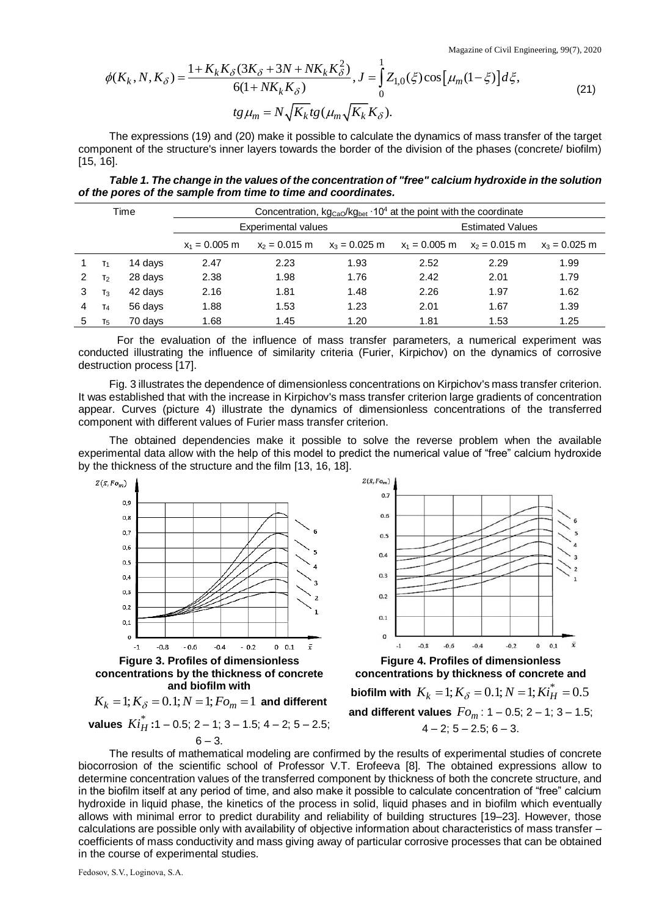Magazine of Civil Engineering, 99(7), 2020

$$
\phi(K_k, N, K_{\delta}) = \frac{1 + K_k K_{\delta} (3K_{\delta} + 3N + NK_k K_{\delta}^2)}{6(1 + NK_k K_{\delta})}, J = \int_0^1 Z_{1,0}(\xi) \cos[\mu_m(1 - \xi)] d\xi,
$$
  
\n
$$
tg \mu_m = N \sqrt{K_k} t g(\mu_m \sqrt{K_k} K_{\delta}).
$$
\n(21)

*Table 1. The change in the values of the concentration of "free" calcium hydroxide in the solution of the pores of the sample from time to time and coordinates.*

|                                                                                                                                                                                                                                                                                                                                                                                                                                                                                                                                                                                                                                                                                                                                                                                                                                                                                                                                                                                                                            |                |            | $\phi(K_k, N, K_\delta) = \frac{1 + K_k K_\delta (3K_\delta + 3N + 1)K_k K_\delta}{6(1 + NK_k K_\delta)}, J = \int_0^1 Z_{1,0}(\xi) \cos \left[\mu_m (1 - \xi)\right] d\xi,$ |                                                     |                                                                                                        |                         |                                                                                           | (21)            |
|----------------------------------------------------------------------------------------------------------------------------------------------------------------------------------------------------------------------------------------------------------------------------------------------------------------------------------------------------------------------------------------------------------------------------------------------------------------------------------------------------------------------------------------------------------------------------------------------------------------------------------------------------------------------------------------------------------------------------------------------------------------------------------------------------------------------------------------------------------------------------------------------------------------------------------------------------------------------------------------------------------------------------|----------------|------------|------------------------------------------------------------------------------------------------------------------------------------------------------------------------------|-----------------------------------------------------|--------------------------------------------------------------------------------------------------------|-------------------------|-------------------------------------------------------------------------------------------|-----------------|
|                                                                                                                                                                                                                                                                                                                                                                                                                                                                                                                                                                                                                                                                                                                                                                                                                                                                                                                                                                                                                            |                |            |                                                                                                                                                                              | $tg\mu_m = N\sqrt{K_k}tg(\mu_m\sqrt{K_k}K_\delta).$ |                                                                                                        |                         |                                                                                           |                 |
| The expressions (19) and (20) make it possible to calculate the dynamics of mass transfer of the target<br>component of the structure's inner layers towards the border of the division of the phases (concrete/ biofilm)<br>$[15, 16]$ .                                                                                                                                                                                                                                                                                                                                                                                                                                                                                                                                                                                                                                                                                                                                                                                  |                |            |                                                                                                                                                                              |                                                     |                                                                                                        |                         |                                                                                           |                 |
| Table 1. The change in the values of the concentration of "free" calcium hydroxide in the solution<br>of the pores of the sample from time to time and coordinates.                                                                                                                                                                                                                                                                                                                                                                                                                                                                                                                                                                                                                                                                                                                                                                                                                                                        |                |            |                                                                                                                                                                              |                                                     |                                                                                                        |                         |                                                                                           |                 |
|                                                                                                                                                                                                                                                                                                                                                                                                                                                                                                                                                                                                                                                                                                                                                                                                                                                                                                                                                                                                                            |                | Time       |                                                                                                                                                                              |                                                     | Concentration, kg <sub>CaO</sub> /kg <sub>bet</sub> · 10 <sup>4</sup> at the point with the coordinate |                         |                                                                                           |                 |
|                                                                                                                                                                                                                                                                                                                                                                                                                                                                                                                                                                                                                                                                                                                                                                                                                                                                                                                                                                                                                            |                |            | <b>Experimental values</b>                                                                                                                                                   |                                                     |                                                                                                        | <b>Estimated Values</b> |                                                                                           |                 |
|                                                                                                                                                                                                                                                                                                                                                                                                                                                                                                                                                                                                                                                                                                                                                                                                                                                                                                                                                                                                                            |                |            | $x_1 = 0.005$ m                                                                                                                                                              | $x_2 = 0.015$ m                                     | $x_3 = 0.025$ m                                                                                        | $x_1 = 0.005$ m         | $x_2 = 0.015$ m                                                                           | $x_3 = 0.025$ m |
| 1                                                                                                                                                                                                                                                                                                                                                                                                                                                                                                                                                                                                                                                                                                                                                                                                                                                                                                                                                                                                                          | T <sub>1</sub> | 14 days    | 2.47                                                                                                                                                                         | 2.23                                                | 1.93                                                                                                   | 2.52                    | 2.29                                                                                      | 1.99            |
| 2                                                                                                                                                                                                                                                                                                                                                                                                                                                                                                                                                                                                                                                                                                                                                                                                                                                                                                                                                                                                                          | T <sub>2</sub> | 28 days    | 2.38                                                                                                                                                                         | 1.98                                                | 1.76                                                                                                   | 2.42                    | 2.01                                                                                      | 1.79            |
| 3                                                                                                                                                                                                                                                                                                                                                                                                                                                                                                                                                                                                                                                                                                                                                                                                                                                                                                                                                                                                                          | $T_3$          | 42 days    | 2.16                                                                                                                                                                         | 1.81                                                | 1.48                                                                                                   | 2.26                    | 1.97                                                                                      | 1.62            |
| 4                                                                                                                                                                                                                                                                                                                                                                                                                                                                                                                                                                                                                                                                                                                                                                                                                                                                                                                                                                                                                          | T <sub>4</sub> | 56 days    | 1.88                                                                                                                                                                         | 1.53                                                | 1.23                                                                                                   | 2.01                    | 1.67                                                                                      | 1.39            |
| 5                                                                                                                                                                                                                                                                                                                                                                                                                                                                                                                                                                                                                                                                                                                                                                                                                                                                                                                                                                                                                          | $T_5$          | 70 days    | 1.68                                                                                                                                                                         | 1.45                                                | 1.20                                                                                                   | 1.81                    | 1.53                                                                                      | 1.25            |
| For the evaluation of the influence of mass transfer parameters, a numerical experiment was<br>conducted illustrating the influence of similarity criteria (Furier, Kirpichov) on the dynamics of corrosive<br>destruction process [17].                                                                                                                                                                                                                                                                                                                                                                                                                                                                                                                                                                                                                                                                                                                                                                                   |                |            |                                                                                                                                                                              |                                                     |                                                                                                        |                         |                                                                                           |                 |
| Fig. 3 illustrates the dependence of dimensionless concentrations on Kirpichov's mass transfer criterion.<br>It was established that with the increase in Kirpichov's mass transfer criterion large gradients of concentration<br>appear. Curves (picture 4) illustrate the dynamics of dimensionless concentrations of the transferred<br>component with different values of Furier mass transfer criterion.                                                                                                                                                                                                                                                                                                                                                                                                                                                                                                                                                                                                              |                |            |                                                                                                                                                                              |                                                     |                                                                                                        |                         |                                                                                           |                 |
| The obtained dependencies make it possible to solve the reverse problem when the available<br>experimental data allow with the help of this model to predict the numerical value of "free" calcium hydroxide<br>by the thickness of the structure and the film [13, 16, 18].<br>$Z(\bar{x},Fo_m)$<br>$Z(\bar{x},Fo_m)$                                                                                                                                                                                                                                                                                                                                                                                                                                                                                                                                                                                                                                                                                                     |                |            |                                                                                                                                                                              |                                                     |                                                                                                        |                         |                                                                                           |                 |
|                                                                                                                                                                                                                                                                                                                                                                                                                                                                                                                                                                                                                                                                                                                                                                                                                                                                                                                                                                                                                            |                |            |                                                                                                                                                                              |                                                     | 0.7                                                                                                    |                         |                                                                                           |                 |
|                                                                                                                                                                                                                                                                                                                                                                                                                                                                                                                                                                                                                                                                                                                                                                                                                                                                                                                                                                                                                            |                | 0,9        |                                                                                                                                                                              |                                                     | 0.6                                                                                                    |                         |                                                                                           |                 |
|                                                                                                                                                                                                                                                                                                                                                                                                                                                                                                                                                                                                                                                                                                                                                                                                                                                                                                                                                                                                                            |                | 0,8<br>0,7 |                                                                                                                                                                              |                                                     |                                                                                                        |                         |                                                                                           |                 |
|                                                                                                                                                                                                                                                                                                                                                                                                                                                                                                                                                                                                                                                                                                                                                                                                                                                                                                                                                                                                                            |                | 0,6        |                                                                                                                                                                              |                                                     | 0.5                                                                                                    |                         |                                                                                           |                 |
|                                                                                                                                                                                                                                                                                                                                                                                                                                                                                                                                                                                                                                                                                                                                                                                                                                                                                                                                                                                                                            |                | 0,5        |                                                                                                                                                                              |                                                     | 0.4                                                                                                    |                         |                                                                                           |                 |
|                                                                                                                                                                                                                                                                                                                                                                                                                                                                                                                                                                                                                                                                                                                                                                                                                                                                                                                                                                                                                            |                | 0,4        |                                                                                                                                                                              | $\overline{4}$                                      | 0.3                                                                                                    |                         |                                                                                           |                 |
|                                                                                                                                                                                                                                                                                                                                                                                                                                                                                                                                                                                                                                                                                                                                                                                                                                                                                                                                                                                                                            |                | 0,3        |                                                                                                                                                                              | з                                                   | 0.2                                                                                                    |                         |                                                                                           |                 |
|                                                                                                                                                                                                                                                                                                                                                                                                                                                                                                                                                                                                                                                                                                                                                                                                                                                                                                                                                                                                                            |                | 0,2        |                                                                                                                                                                              | 2                                                   |                                                                                                        |                         |                                                                                           |                 |
|                                                                                                                                                                                                                                                                                                                                                                                                                                                                                                                                                                                                                                                                                                                                                                                                                                                                                                                                                                                                                            |                | 0,1        |                                                                                                                                                                              |                                                     | 0.1                                                                                                    |                         |                                                                                           |                 |
|                                                                                                                                                                                                                                                                                                                                                                                                                                                                                                                                                                                                                                                                                                                                                                                                                                                                                                                                                                                                                            |                | 0          |                                                                                                                                                                              |                                                     | 0                                                                                                      |                         |                                                                                           |                 |
| $-0.2$<br>x<br>$-0.8$<br>$-0.6$<br>$-0.4$<br>$\mathbf{0}$<br>0,1<br>$-1$<br>$-0.8$<br>$-0.6$<br>$-0.4$<br>$-0.2$<br>$0 \t 0.1$<br>$\bar{x}$<br>$-1$                                                                                                                                                                                                                                                                                                                                                                                                                                                                                                                                                                                                                                                                                                                                                                                                                                                                        |                |            |                                                                                                                                                                              |                                                     |                                                                                                        |                         |                                                                                           |                 |
| <b>Figure 3. Profiles of dimensionless</b><br><b>Figure 4. Profiles of dimensionless</b>                                                                                                                                                                                                                                                                                                                                                                                                                                                                                                                                                                                                                                                                                                                                                                                                                                                                                                                                   |                |            |                                                                                                                                                                              |                                                     |                                                                                                        |                         |                                                                                           |                 |
| concentrations by the thickness of concrete<br>concentrations by thickness of concrete and<br>and biofilm with                                                                                                                                                                                                                                                                                                                                                                                                                                                                                                                                                                                                                                                                                                                                                                                                                                                                                                             |                |            |                                                                                                                                                                              |                                                     |                                                                                                        |                         |                                                                                           |                 |
| biofilm with $K_k = 1; K_{\delta} = 0.1; N = 1; Ki_H^* = 0.5$<br>$K_k = 1; K_{\delta} = 0.1; N = 1; Fo_m = 1$ and different                                                                                                                                                                                                                                                                                                                                                                                                                                                                                                                                                                                                                                                                                                                                                                                                                                                                                                |                |            |                                                                                                                                                                              |                                                     |                                                                                                        |                         |                                                                                           |                 |
|                                                                                                                                                                                                                                                                                                                                                                                                                                                                                                                                                                                                                                                                                                                                                                                                                                                                                                                                                                                                                            |                |            | values $Ki_H^*$ : 1 – 0.5; 2 – 1; 3 – 1.5; 4 – 2; 5 – 2.5;                                                                                                                   |                                                     |                                                                                                        |                         | and different values $Fo_m$ : 1 – 0.5; 2 – 1; 3 – 1.5;<br>$4 - 2$ ; $5 - 2.5$ ; $6 - 3$ . |                 |
| $6 - 3$ .<br>The results of mathematical modeling are confirmed by the results of experimental studies of concrete<br>biocorrosion of the scientific school of Professor V.T. Erofeeva [8]. The obtained expressions allow to<br>determine concentration values of the transferred component by thickness of both the concrete structure, and<br>in the biofilm itself at any period of time, and also make it possible to calculate concentration of "free" calcium<br>hydroxide in liquid phase, the kinetics of the process in solid, liquid phases and in biofilm which eventually<br>allows with minimal error to predict durability and reliability of building structures [19-23]. However, those<br>calculations are possible only with availability of objective information about characteristics of mass transfer -<br>coefficients of mass conductivity and mass giving away of particular corrosive processes that can be obtained<br>in the course of experimental studies.<br>Fedosov, S.V., Loginova, S.A. |                |            |                                                                                                                                                                              |                                                     |                                                                                                        |                         |                                                                                           |                 |





$$
K_k = 1; K_{\delta} = 0.1; N = 1; Fo_m = 1 \text{ and different}
$$

$$
6-3.
$$

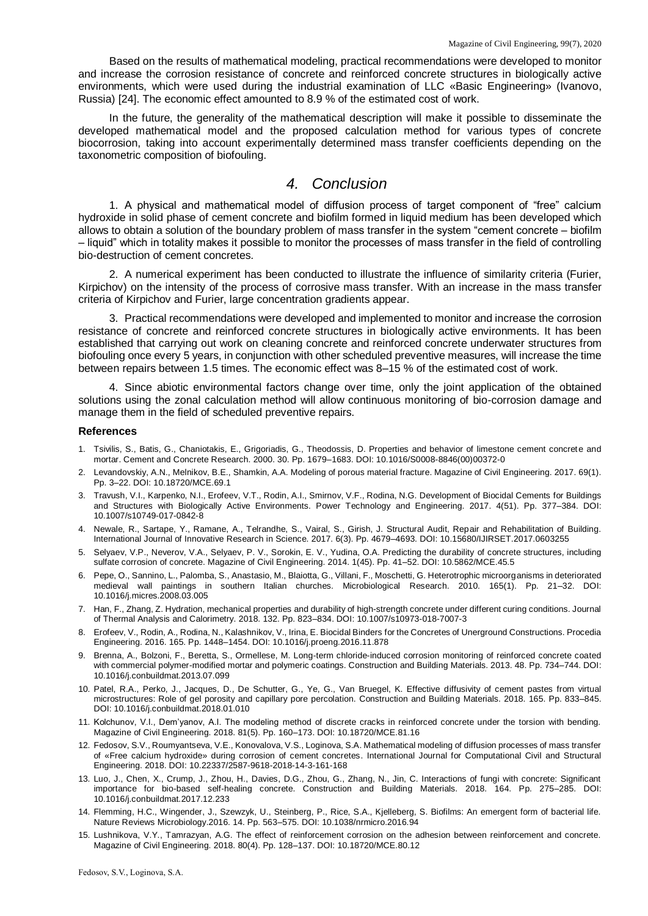Based on the results of mathematical modeling, practical recommendations were developed to monitor and increase the corrosion resistance of concrete and reinforced concrete structures in biologically active environments, which were used during the industrial examination of LLC «Basic Engineering» (Ivanovo, Russia) [24]. The economic effect amounted to 8.9 % of the estimated cost of work.

In the future, the generality of the mathematical description will make it possible to disseminate the developed mathematical model and the proposed calculation method for various types of concrete biocorrosion, taking into account experimentally determined mass transfer coefficients depending on the taxonometric composition of biofouling.

#### *4. Conclusion*

1. A physical and mathematical model of diffusion process of target component of "free" calcium hydroxide in solid phase of cement concrete and biofilm formed in liquid medium has been developed which allows to obtain a solution of the boundary problem of mass transfer in the system "cement concrete – biofilm – liquid" which in totality makes it possible to monitor the processes of mass transfer in the field of controlling bio-destruction of cement concretes.

2. A numerical experiment has been conducted to illustrate the influence of similarity criteria (Furier, Kirpichov) on the intensity of the process of corrosive mass transfer. With an increase in the mass transfer criteria of Kirpichov and Furier, large concentration gradients appear.

3. Practical recommendations were developed and implemented to monitor and increase the corrosion resistance of concrete and reinforced concrete structures in biologically active environments. It has been established that carrying out work on cleaning concrete and reinforced concrete underwater structures from biofouling once every 5 years, in conjunction with other scheduled preventive measures, will increase the time between repairs between 1.5 times. The economic effect was 8–15 % of the estimated cost of work.

4. Since abiotic environmental factors change over time, only the joint application of the obtained solutions using the zonal calculation method will allow continuous monitoring of bio-corrosion damage and manage them in the field of scheduled preventive repairs.

#### **References**

- 1. Tsivilis, S., Batis, G., Chaniotakis, E., Grigoriadis, G., Theodossis, D. Properties and behavior of limestone cement concrete and mortar. Cement and Concrete Research. 2000. 30. Pp. 1679–1683. DOI: 10.1016/S0008-8846(00)00372-0
- 2. Levandovskiy, A.N., Melnikov, B.E., Shamkin, A.A. Modeling of porous material fracture. Magazine of Civil Engineering. 2017. 69(1). Pp. 3–22. DOI: 10.18720/MCE.69.1
- 3. Travush, V.I., Karpenko, N.I., Erofeev, V.T., Rodin, A.I., Smirnov, V.F., Rodina, N.G. Development of Biocidal Cements for Buildings and Structures with Biologically Active Environments. Power Technology and Engineering. 2017. 4(51). Pp. 377–384. DOI: 10.1007/s10749-017-0842-8
- 4. Newale, R., Sartape, Y., Ramane, A., Telrandhe, S., Vairal, S., Girish, J. Structural Audit, Repair and Rehabilitation of Building. International Journal of Innovative Research in Science. 2017. 6(3). Pp. 4679–4693. DOI: 10.15680/IJIRSET.2017.0603255
- 5. Selyaev, V.P., Neverov, V.A., Selyaev, P. V., Sorokin, E. V., Yudina, O.A. Predicting the durability of concrete structures, including sulfate corrosion of concrete. Magazine of Civil Engineering. 2014. 1(45). Pp. 41–52. DOI: 10.5862/MCE.45.5
- 6. Pepe, O., Sannino, L., Palomba, S., Anastasio, M., Blaiotta, G., Villani, F., Moschetti, G. Heterotrophic microorganisms in deteriorated medieval wall paintings in southern Italian churches. Microbiological Research. 2010. 165(1). Pp. 21–32. DOI: 10.1016/j.micres.2008.03.005
- 7. Han, F., Zhang, Z. Hydration, mechanical properties and durability of high-strength concrete under different curing conditions. Journal of Thermal Analysis and Calorimetry. 2018. 132. Pp. 823–834. DOI: 10.1007/s10973-018-7007-3
- 8. Erofeev, V., Rodin, A., Rodina, N., Kalashnikov, V., Irina, E. Biocidal Binders for the Concretes of Unerground Constructions. Procedia Engineering. 2016. 165. Pp. 1448–1454. DOI: 10.1016/j.proeng.2016.11.878
- 9. Brenna, A., Bolzoni, F., Beretta, S., Ormellese, M. Long-term chloride-induced corrosion monitoring of reinforced concrete coated with commercial polymer-modified mortar and polymeric coatings. Construction and Building Materials. 2013. 48. Pp. 734–744. DOI: 10.1016/j.conbuildmat.2013.07.099
- 10. Patel, R.A., Perko, J., Jacques, D., De Schutter, G., Ye, G., Van Bruegel, K. Effective diffusivity of cement pastes from virtual microstructures: Role of gel porosity and capillary pore percolation. Construction and Building Materials. 2018. 165. Pp. 833–845. DOI: 10.1016/j.conbuildmat.2018.01.010
- 11. Kolchunov, V.I., Dem'yanov, A.I. The modeling method of discrete cracks in reinforced concrete under the torsion with bending. Magazine of Civil Engineering. 2018. 81(5). Pp. 160–173. DOI: 10.18720/MCE.81.16
- 12. Fedosov, S.V., Roumyantseva, V.E., Konovalova, V.S., Loginova, S.A. Mathematical modeling of diffusion processes of mass transfer of «Free calcium hydroxide» during corrosion of cement concretes. International Journal for Computational Civil and Structural Engineering. 2018. DOI: 10.22337/2587-9618-2018-14-3-161-168
- 13. Luo, J., Chen, X., Crump, J., Zhou, H., Davies, D.G., Zhou, G., Zhang, N., Jin, C. Interactions of fungi with concrete: Significant importance for bio-based self-healing concrete. Construction and Building Materials. 2018. 164. Pp. 275–285. DOI: 10.1016/j.conbuildmat.2017.12.233
- 14. Flemming, H.C., Wingender, J., Szewzyk, U., Steinberg, P., Rice, S.A., Kjelleberg, S. Biofilms: An emergent form of bacterial life. Nature Reviews Microbiology.2016. 14. Pp. 563–575. DOI: 10.1038/nrmicro.2016.94
- 15. Lushnikova, V.Y., Tamrazyan, A.G. The effect of reinforcement corrosion on the adhesion between reinforcement and concrete. Magazine of Civil Engineering. 2018. 80(4). Pp. 128–137. DOI: 10.18720/MCE.80.12